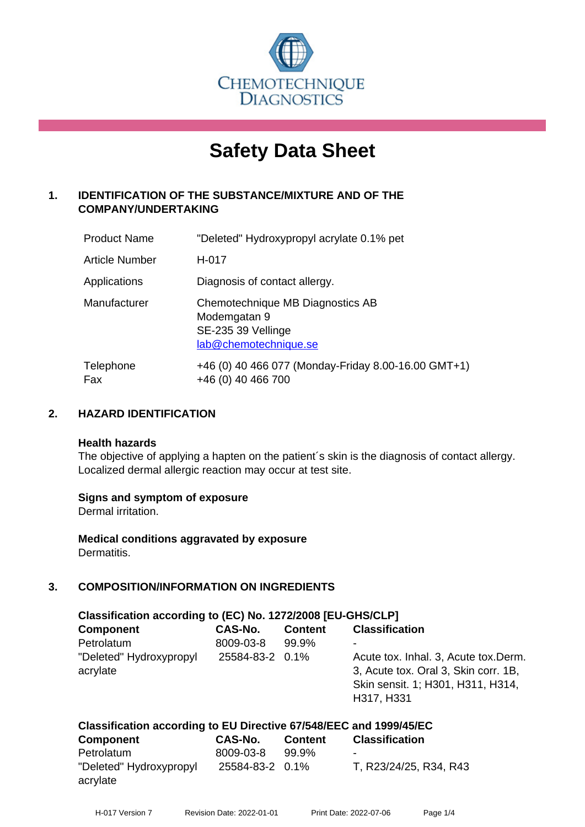

# **Safety Data Sheet**

# **1. IDENTIFICATION OF THE SUBSTANCE/MIXTURE AND OF THE COMPANY/UNDERTAKING**

| <b>Product Name</b>   | "Deleted" Hydroxypropyl acrylate 0.1% pet                                                       |
|-----------------------|-------------------------------------------------------------------------------------------------|
| <b>Article Number</b> | H-017                                                                                           |
| Applications          | Diagnosis of contact allergy.                                                                   |
| Manufacturer          | Chemotechnique MB Diagnostics AB<br>Modemgatan 9<br>SE-235 39 Vellinge<br>lab@chemotechnique.se |
| Telephone<br>Fax      | +46 (0) 40 466 077 (Monday-Friday 8.00-16.00 GMT+1)<br>+46 (0) 40 466 700                       |

# **2. HAZARD IDENTIFICATION**

#### **Health hazards**

The objective of applying a hapten on the patient's skin is the diagnosis of contact allergy. Localized dermal allergic reaction may occur at test site.

# **Signs and symptom of exposure**

Dermal irritation.

**Medical conditions aggravated by exposure** Dermatitis.

# **3. COMPOSITION/INFORMATION ON INGREDIENTS**

| Classification according to (EC) No. 1272/2008 [EU-GHS/CLP]        |                 |                |                                                                                                                                  |  |
|--------------------------------------------------------------------|-----------------|----------------|----------------------------------------------------------------------------------------------------------------------------------|--|
| <b>Component</b>                                                   | CAS-No.         | <b>Content</b> | <b>Classification</b>                                                                                                            |  |
| Petrolatum                                                         | 8009-03-8       | 99.9%          |                                                                                                                                  |  |
| "Deleted" Hydroxypropyl<br>acrylate                                | 25584-83-2 0.1% |                | Acute tox. Inhal. 3, Acute tox. Derm.<br>3, Acute tox. Oral 3, Skin corr. 1B,<br>Skin sensit. 1; H301, H311, H314,<br>H317, H331 |  |
| Classification according to EU Directive 67/548/EEC and 1999/45/EC |                 |                |                                                                                                                                  |  |

| Classification according to LO Directive 077340/LLO and 1333/43/LO |                 |                |                          |
|--------------------------------------------------------------------|-----------------|----------------|--------------------------|
| <b>Component</b>                                                   | CAS-No.         | <b>Content</b> | <b>Classification</b>    |
| Petrolatum                                                         | 8009-03-8       | 99.9%          | $\overline{\phantom{a}}$ |
| "Deleted" Hydroxypropyl<br>acrylate                                | 25584-83-2 0.1% |                | T, R23/24/25, R34, R43   |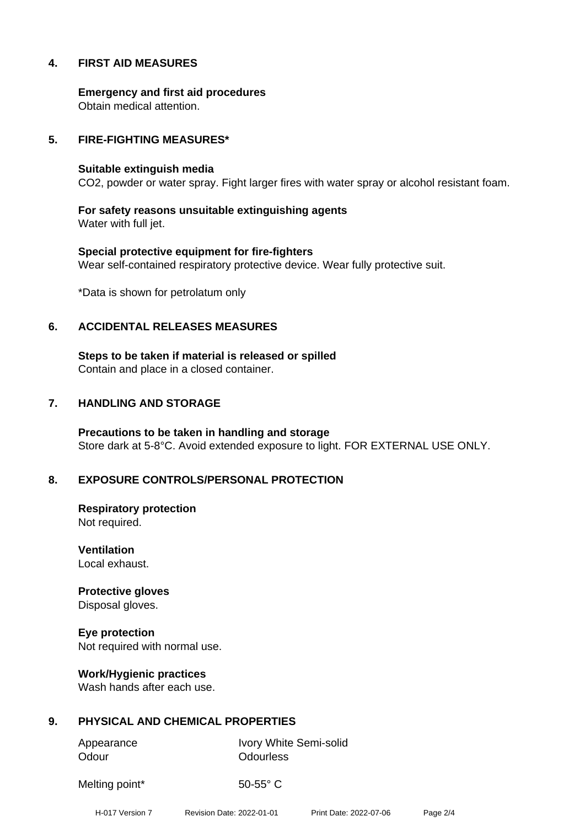# **4. FIRST AID MEASURES**

**Emergency and first aid procedures** Obtain medical attention.

## **5. FIRE-FIGHTING MEASURES\***

#### **Suitable extinguish media**

CO2, powder or water spray. Fight larger fires with water spray or alcohol resistant foam.

**For safety reasons unsuitable extinguishing agents** Water with full jet.

**Special protective equipment for fire-fighters** Wear self-contained respiratory protective device. Wear fully protective suit.

\*Data is shown for petrolatum only

#### **6. ACCIDENTAL RELEASES MEASURES**

**Steps to be taken if material is released or spilled** Contain and place in a closed container.

## **7. HANDLING AND STORAGE**

**Precautions to be taken in handling and storage** Store dark at 5-8°C. Avoid extended exposure to light. FOR EXTERNAL USE ONLY.

# **8. EXPOSURE CONTROLS/PERSONAL PROTECTION**

**Respiratory protection** Not required.

**Ventilation** Local exhaust.

**Protective gloves** Disposal gloves.

**Eye protection** Not required with normal use.

**Work/Hygienic practices** Wash hands after each use.

# **9. PHYSICAL AND CHEMICAL PROPERTIES**

Odour **Odourless** 

Appearance Ivory White Semi-solid

Melting point\* 50-55° C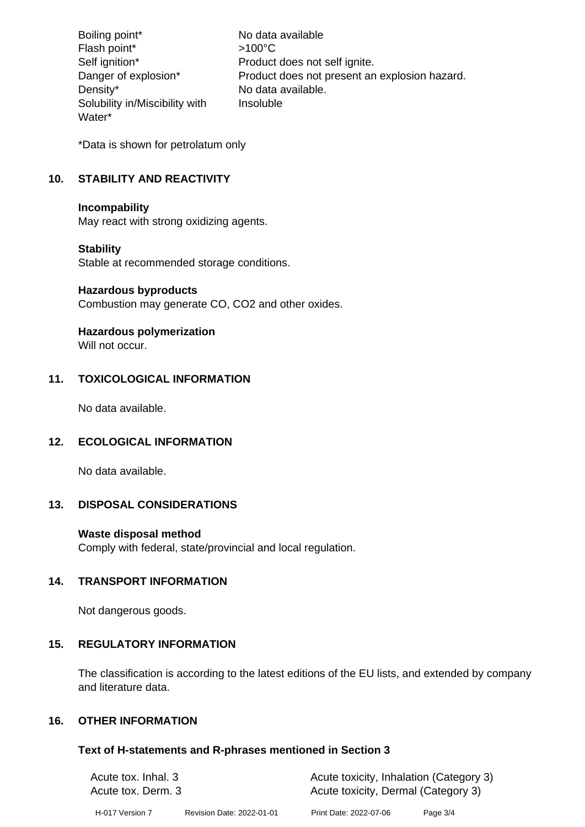Boiling point\* No data available Flash point\*  $>100^{\circ}$ C Self ignition\* Product does not self ignite. Danger of explosion\* Product does not present an explosion hazard. Density\* No data available. Solubility in/Miscibility with Water\* Insoluble

\*Data is shown for petrolatum only

# **10. STABILITY AND REACTIVITY**

#### **Incompability**

May react with strong oxidizing agents.

# **Stability**

Stable at recommended storage conditions.

#### **Hazardous byproducts**

Combustion may generate CO, CO2 and other oxides.

# **Hazardous polymerization**

Will not occur.

# **11. TOXICOLOGICAL INFORMATION**

No data available.

# **12. ECOLOGICAL INFORMATION**

No data available.

# **13. DISPOSAL CONSIDERATIONS**

# **Waste disposal method**

Comply with federal, state/provincial and local regulation.

# **14. TRANSPORT INFORMATION**

Not dangerous goods.

# **15. REGULATORY INFORMATION**

The classification is according to the latest editions of the EU lists, and extended by company and literature data.

# **16. OTHER INFORMATION**

# **Text of H-statements and R-phrases mentioned in Section 3**

| Acute tox. Inhal. 3<br>Acute tox. Derm. 3 |                           | Acute toxicity, Inhalation (Category 3) |            |  |
|-------------------------------------------|---------------------------|-----------------------------------------|------------|--|
|                                           |                           | Acute toxicity, Dermal (Category 3)     |            |  |
| H-017 Version 7                           | Revision Date: 2022-01-01 | Print Date: 2022-07-06                  | Page $3/4$ |  |